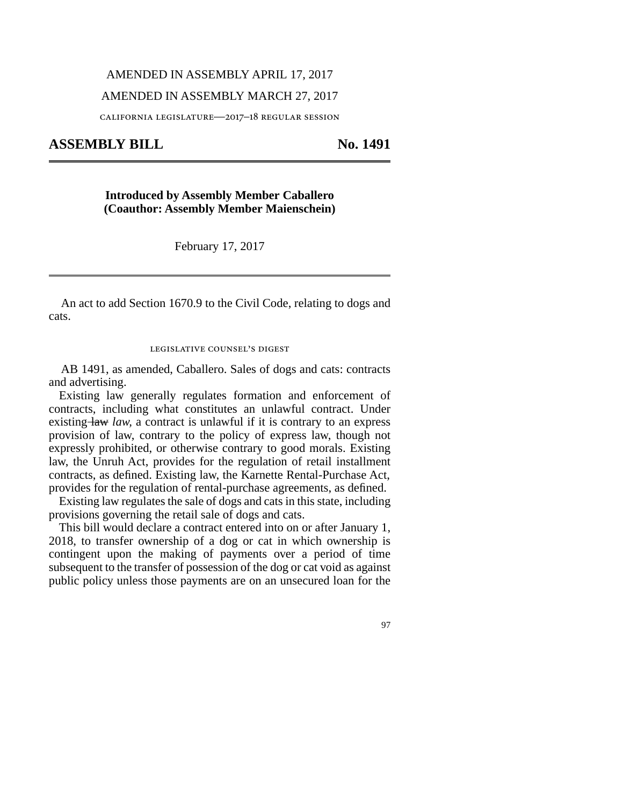## AMENDED IN ASSEMBLY APRIL 17, 2017

### AMENDED IN ASSEMBLY MARCH 27, 2017

california legislature—2017–18 regular session

**ASSEMBLY BILL No. 1491** 

# **Introduced by Assembly Member Caballero (Coauthor: Assembly Member Maienschein)**

February 17, 2017

An act to add Section 1670.9 to the Civil Code, relating to dogs and cats.

#### legislative counsel's digest

AB 1491, as amended, Caballero. Sales of dogs and cats: contracts and advertising.

Existing law generally regulates formation and enforcement of contracts, including what constitutes an unlawful contract. Under existing law *law*, a contract is unlawful if it is contrary to an express provision of law, contrary to the policy of express law, though not expressly prohibited, or otherwise contrary to good morals. Existing law, the Unruh Act, provides for the regulation of retail installment contracts, as defined. Existing law, the Karnette Rental-Purchase Act, provides for the regulation of rental-purchase agreements, as defined.

Existing law regulates the sale of dogs and cats in this state, including provisions governing the retail sale of dogs and cats.

This bill would declare a contract entered into on or after January 1, 2018, to transfer ownership of a dog or cat in which ownership is contingent upon the making of payments over a period of time subsequent to the transfer of possession of the dog or cat void as against public policy unless those payments are on an unsecured loan for the

97